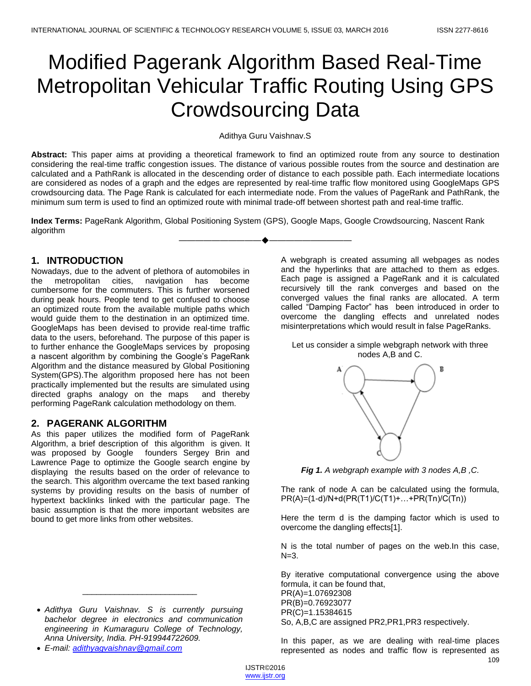# Modified Pagerank Algorithm Based Real-Time Metropolitan Vehicular Traffic Routing Using GPS Crowdsourcing Data

#### Adithya Guru Vaishnav.S

**Abstract:** This paper aims at providing a theoretical framework to find an optimized route from any source to destination considering the real-time traffic congestion issues. The distance of various possible routes from the source and destination are calculated and a PathRank is allocated in the descending order of distance to each possible path. Each intermediate locations are considered as nodes of a graph and the edges are represented by real-time traffic flow monitored using GoogleMaps GPS crowdsourcing data. The Page Rank is calculated for each intermediate node. From the values of PageRank and PathRank, the minimum sum term is used to find an optimized route with minimal trade-off between shortest path and real-time traffic.

**Index Terms:** PageRank Algorithm, Global Positioning System (GPS), Google Maps, Google Crowdsourcing, Nascent Rank algorithm

————————————————————

### **1. INTRODUCTION**

Nowadays, due to the advent of plethora of automobiles in the metropolitan cities, navigation has become cumbersome for the commuters. This is further worsened during peak hours. People tend to get confused to choose an optimized route from the available multiple paths which would guide them to the destination in an optimized time. GoogleMaps has been devised to provide real-time traffic data to the users, beforehand. The purpose of this paper is to further enhance the GoogleMaps services by proposing a nascent algorithm by combining the Google's PageRank Algorithm and the distance measured by Global Positioning System(GPS).The algorithm proposed here has not been practically implemented but the results are simulated using directed graphs analogy on the maps and thereby performing PageRank calculation methodology on them.

## **2. PAGERANK ALGORITHM**

As this paper utilizes the modified form of PageRank Algorithm, a brief description of this algorithm is given. It was proposed by Google founders Sergey Brin and Lawrence Page to optimize the Google search engine by displaying the results based on the order of relevance to the search. This algorithm overcame the text based ranking systems by providing results on the basis of number of hypertext backlinks linked with the particular page. The basic assumption is that the more important websites are bound to get more links from other websites.

 *Adithya Guru Vaishnav. S is currently pursuing bachelor degree in electronics and communication engineering in Kumaraguru College of Technology, Anna University, India. PH-919944722609.* 

\_\_\_\_\_\_\_\_\_\_\_\_\_\_\_\_\_\_\_\_\_\_\_\_\_

*E-mail[: adithyagvaishnav@gmail.com](mailto:adithyagvaishnav@gmail.com)*

A webgraph is created assuming all webpages as nodes and the hyperlinks that are attached to them as edges. Each page is assigned a PageRank and it is calculated recursively till the rank converges and based on the converged values the final ranks are allocated. A term called "Damping Factor" has been introduced in order to overcome the dangling effects and unrelated nodes misinterpretations which would result in false PageRanks.

#### Let us consider a simple webgraph network with three nodes A,B and C.



*Fig 1. A webgraph example with 3 nodes A,B ,C.*

The rank of node A can be calculated using the formula, PR(A)=(1-d)/N+d(PR(T1)/C(T1)+…+PR(Tn)/C(Tn))

Here the term d is the damping factor which is used to overcome the dangling effects[1].

N is the total number of pages on the web.In this case,  $N=3$ .

By iterative computational convergence using the above formula, it can be found that,

PR(A)=1.07692308 PR(B)=0.76923077 PR(C)=1.15384615

So, A,B,C are assigned PR2,PR1,PR3 respectively.

In this paper, as we are dealing with real-time places represented as nodes and traffic flow is represented as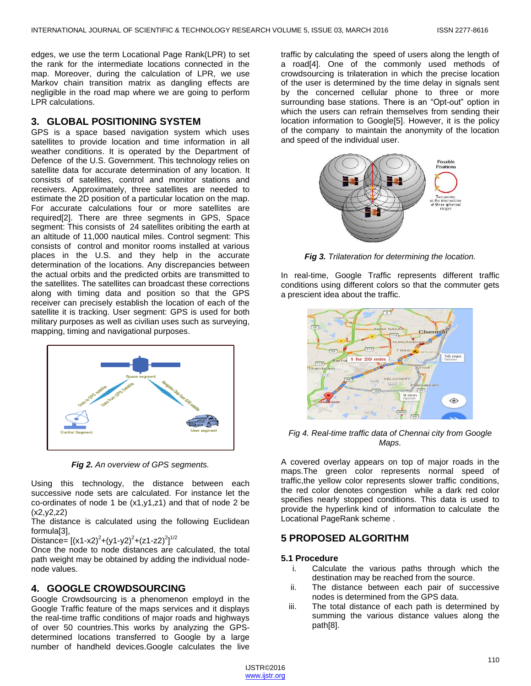edges, we use the term Locational Page Rank(LPR) to set the rank for the intermediate locations connected in the map. Moreover, during the calculation of LPR, we use Markov chain transition matrix as dangling effects are negligible in the road map where we are going to perform LPR calculations.

### **3. GLOBAL POSITIONING SYSTEM**

GPS is a space based navigation system which uses satellites to provide location and time information in all weather conditions. It is operated by the Department of Defence of the U.S. Government. This technology relies on satellite data for accurate determination of any location. It consists of satellites, control and monitor stations and receivers. Approximately, three satellites are needed to estimate the 2D position of a particular location on the map. For accurate calculations four or more satellites are required[2]. There are three segments in GPS, Space segment: This consists of 24 satellites oribiting the earth at an altitude of 11,000 nautical miles. Control segment: This consists of control and monitor rooms installed at various places in the U.S. and they help in the accurate determination of the locations. Any discrepancies between the actual orbits and the predicted orbits are transmitted to the satellites. The satellites can broadcast these corrections along with timing data and position so that the GPS receiver can precisely establish the location of each of the satellite it is tracking. User segment: GPS is used for both military purposes as well as civilian uses such as surveying, mapping, timing and navigational purposes.



*Fig 2. An overview of GPS segments.*

Using this technology, the distance between each successive node sets are calculated. For instance let the co-ordinates of node 1 be (x1,y1,z1) and that of node 2 be  $(x2,y2,z2)$ 

The distance is calculated using the following Euclidean formula[3],

Distance=  $[(x1-x2)^{2}+(y1-y2)^{2}+(z1-z2)^{2}]^{1/2}$ 

Once the node to node distances are calculated, the total path weight may be obtained by adding the individual nodenode values.

## **4. GOOGLE CROWDSOURCING**

Google Crowdsourcing is a phenomenon employd in the Google Traffic feature of the maps services and it displays the real-time traffic conditions of major roads and highways of over 50 countries.This works by analyzing the GPSdetermined locations transferred to Google by a large number of handheld devices.Google calculates the live traffic by calculating the speed of users along the length of a road[4]. One of the commonly used methods of crowdsourcing is trilateration in which the precise location of the user is determined by the time delay in signals sent by the concerned cellular phone to three or more surrounding base stations. There is an "Opt-out" option in which the users can refrain themselves from sending their location information to Google[5]. However, it is the policy of the company to maintain the anonymity of the location and speed of the individual user.



*Fig 3. Trilateration for determining the location.*

In real-time, Google Traffic represents different traffic conditions using different colors so that the commuter gets a prescient idea about the traffic.



*Fig 4. Real-time traffic data of Chennai city from Google Maps.*

A covered overlay appears on top of major roads in the maps.The green color represents normal speed of traffic,the yellow color represents slower traffic conditions, the red color denotes congestion while a dark red color specifies nearly stopped conditions. This data is used to provide the hyperlink kind of information to calculate the Locational PageRank scheme .

## **5 PROPOSED ALGORITHM**

#### **5.1 Procedure**

- i. Calculate the various paths through which the destination may be reached from the source.
- ii. The distance between each pair of successive nodes is determined from the GPS data.
- iii. The total distance of each path is determined by summing the various distance values along the path[8].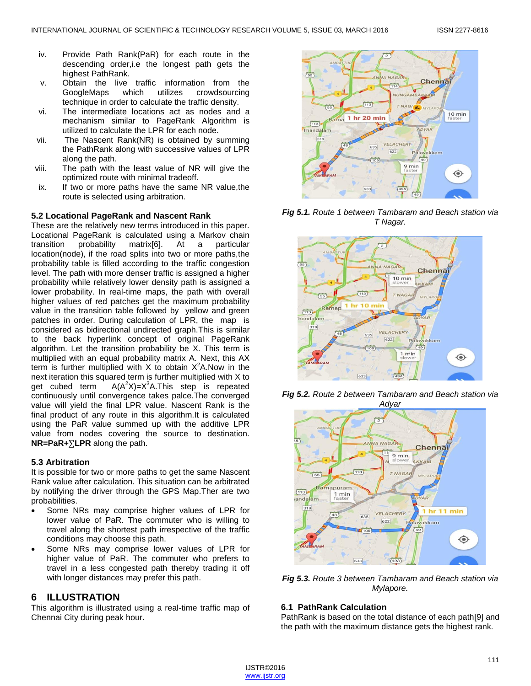- iv. Provide Path Rank(PaR) for each route in the descending order,i.e the longest path gets the highest PathRank.
- v. Obtain the live traffic information from the GoogleMaps which utilizes crowdsourcing technique in order to calculate the traffic density.
- vi. The intermediate locations act as nodes and a mechanism similar to PageRank Algorithm is utilized to calculate the LPR for each node.
- vii. The Nascent Rank(NR) is obtained by summing the PathRank along with successive values of LPR along the path.
- viii. The path with the least value of NR will give the optimized route with minimal tradeoff.
- ix. If two or more paths have the same NR value,the route is selected using arbitration.

#### **5.2 Locational PageRank and Nascent Rank**

These are the relatively new terms introduced in this paper. Locational PageRank is calculated using a Markov chain transition probability matrix[6]. At a particular location(node), if the road splits into two or more paths,the probability table is filled according to the traffic congestion level. The path with more denser traffic is assigned a higher probability while relatively lower density path is assigned a lower probability. In real-time maps, the path with overall higher values of red patches get the maximum probability value in the transition table followed by yellow and green patches in order. During calculation of LPR, the map is considered as bidirectional undirected graph.This is similar to the back hyperlink concept of original PageRank algorithm. Let the transition probability be X. This term is multiplied with an equal probability matrix A. Next, this AX term is further multiplied with X to obtain  $X^2$ A. Now in the next iteration this squared term is further multiplied with X to get cubed term  $A(A<sup>2</sup>X)=X<sup>3</sup>A$ . This step is repeated continuously until convergence takes palce.The converged value will yield the final LPR value. Nascent Rank is the final product of any route in this algorithm.It is calculated using the PaR value summed up with the additive LPR value from nodes covering the source to destination.  $NR = PaR + \sum LPR$  along the path.

#### **5.3 Arbitration**

It is possible for two or more paths to get the same Nascent Rank value after calculation. This situation can be arbitrated by notifying the driver through the GPS Map.Ther are two probabilities.

- Some NRs may comprise higher values of LPR for lower value of PaR. The commuter who is willing to travel along the shortest path irrespective of the traffic conditions may choose this path.
- Some NRs may comprise lower values of LPR for higher value of PaR. The commuter who prefers to travel in a less congested path thereby trading it off with longer distances may prefer this path.

#### **6 ILLUSTRATION**

This algorithm is illustrated using a real-time traffic map of Chennai City during peak hour.



*Fig 5.1. Route 1 between Tambaram and Beach station via T Nagar.*







*Fig 5.3. Route 3 between Tambaram and Beach station via Mylapore.*

#### **6.1 PathRank Calculation**

PathRank is based on the total distance of each path[9] and the path with the maximum distance gets the highest rank.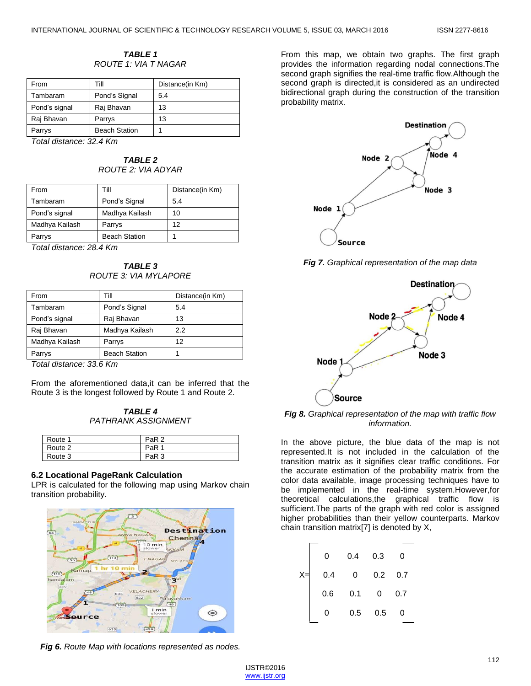#### *TABLE 1 ROUTE 1: VIA T NAGAR*

| From          | Till                 | Distance(in Km) |
|---------------|----------------------|-----------------|
| Tambaram      | Pond's Signal        | 5.4             |
| Pond's signal | Raj Bhavan           | 13              |
| Raj Bhavan    | Parrys               | 13              |
| Parrys        | <b>Beach Station</b> |                 |

*Total distance: 32.4 Km*

*TABLE 2 ROUTE 2: VIA ADYAR*

| From           | Till                 | Distance(in Km) |
|----------------|----------------------|-----------------|
| Tambaram       | Pond's Signal        | 5.4             |
| Pond's signal  | Madhya Kailash       | 10              |
| Madhya Kailash | Parrys               | 12              |
| Parrys         | <b>Beach Station</b> |                 |

*Total distance: 28.4 Km*

*TABLE 3 ROUTE 3: VIA MYLAPORE*

| From           | Till                 | Distance(in Km) |
|----------------|----------------------|-----------------|
| Tambaram       | Pond's Signal        | 5.4             |
| Pond's signal  | Raj Bhavan           | 13              |
| Raj Bhavan     | Madhya Kailash       | 2.2             |
| Madhya Kailash | Parrys               | 12              |
| Parrys         | <b>Beach Station</b> |                 |

*Total distance: 33.6 Km*

From the aforementioned data,it can be inferred that the Route 3 is the longest followed by Route 1 and Route 2.

*TABLE 4 PATHRANK ASSIGNMENT*

| Route 1 | PaR <sub>2</sub> |
|---------|------------------|
| Route 2 | PaR              |
| Route 3 | PaR <sub>3</sub> |

#### **6.2 Locational PageRank Calculation**

LPR is calculated for the following map using Markov chain transition probability.



*Fig 6. Route Map with locations represented as nodes.*

From this map, we obtain two graphs. The first graph provides the information regarding nodal connections.The second graph signifies the real-time traffic flow. Although the second graph is directed,it is considered as an undirected bidirectional graph during the construction of the transition probability matrix.



*Fig 7. Graphical representation of the map data*



*Fig 8. Graphical representation of the map with traffic flow information.*

In the above picture, the blue data of the map is not represented.It is not included in the calculation of the transition matrix as it signifies clear traffic conditions. For the accurate estimation of the probability matrix from the color data available, image processing techniques have to be implemented in the real-time system.However,for theoretical calculations,the graphical traffic flow is sufficient.The parts of the graph with red color is assigned higher probabilities than their yellow counterparts. Markov chain transition matrix[7] is denoted by X,

|     | 0.4 | 0.3 | 0   |
|-----|-----|-----|-----|
| 0.4 | 0   | 0.2 | 0.7 |
| 0.6 | 0.1 | 0   | 0.7 |
|     | 0.5 | 0.5 |     |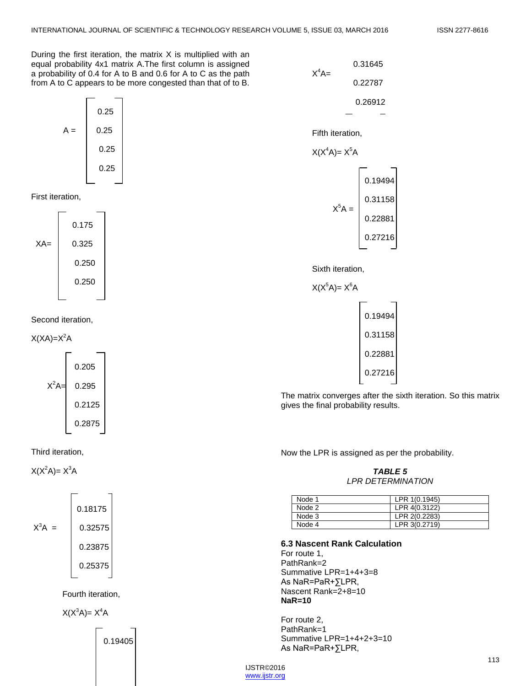During the first iteration, the matrix  $X$  is multiplied with an equal probability 4x1 matrix A.The first column is assigned a probability of 0.4 for A to B and 0.6 for A to C as the path from A to C appears to be more congested than that of to B.



First iteration,



Second iteration,





 $X(X^2A)=X^3A$ 



Fourth iteration,

 $X(X^3A)=X^4A$ 

0.19405



Fifth iteration,

$$
X(X^4A)=X^5A
$$

| $X^5A =$ | 0.19494 |
|----------|---------|
|          | 0.31158 |
|          | 0.22881 |
|          | 0.27216 |

Sixth iteration,



The matrix converges after the sixth iteration. So this matrix gives the final probability results.

Now the LPR is assigned as per the probability.

*TABLE 5 LPR DETERMINATION*

| Node 1 | LPR 1(0.1945) |
|--------|---------------|
| Node 2 | LPR 4(0.3122) |
| Node 3 | LPR 2(0.2283) |
| Node 4 | LPR 3(0.2719) |

**6.3 Nascent Rank Calculation**

For route 1, PathRank=2 Summative LPR=1+4+3=8 As NaR=PaR+∑LPR, Nascent Rank=2+8=10 **NaR=10**

For route 2, PathRank=1 Summative LPR=1+4+2+3=10 As NaR=PaR+∑LPR,

IJSTR©2016 www.ijstr.org